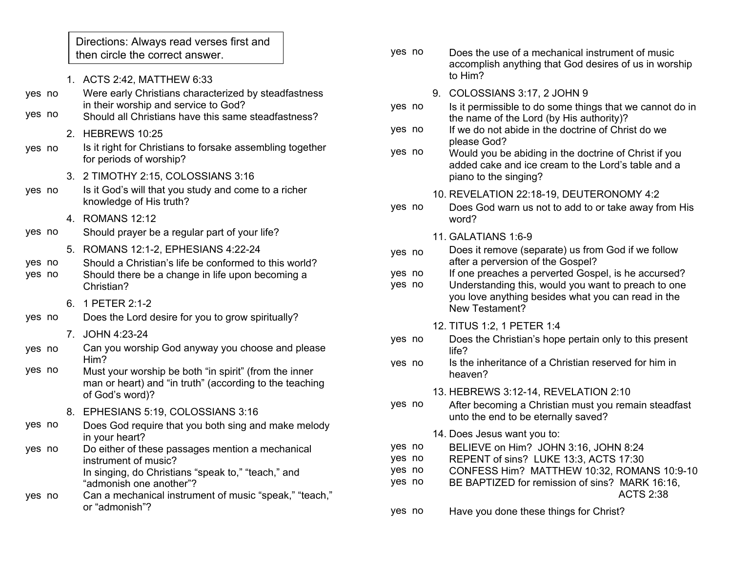Directions: Always read verses first and then circle the correct answer.

- 1. ACTS 2:42, MATTHEW 6:33 Were early Christians characterized by steadfastness in their worship and service to God? Should all Christians have this same steadfastness? 2. HEBREWS 10:25 Is it right for Christians to forsake assembling together for periods of worship? 3. 2 TIMOTHY 2:15, COLOSSIANS 3:16 Is it God's will that you study and come to a richer knowledge of His truth? 4. ROMANS 12:12 Should prayer be a regular part of your life? 5. ROMANS 12:1-2, EPHESIANS 4:22-24 Should a Christian's life be conformed to this world? Should there be a change in life upon becoming a Christian? 6. 1 PETER 2:1-2 Does the Lord desire for you to grow spiritually? 7. JOHN 4:23-24 Can you worship God anyway you choose and please Him? Must your worship be both "in spirit" (from the inner man or heart) and "in truth" (according to the teaching of God's word)? 8. EPHESIANS 5:19, COLOSSIANS 3:16 Does God require that you both sing and make melody in your heart? Do either of these passages mention a mechanical instrument of music? In singing, do Christians "speak to," "teach," and "admonish one another"? Can a mechanical instrument of music "speak," "teach," or "admonish"? yes no yes no yes no yes no yes no yes no yes no yes no yes no yes no yes no yes no yes no
- Does the use of a mechanical instrument of music accomplish anything that God desires of us in worship to Him? yes no
	- 9. COLOSSIANS 3:17, 2 JOHN 9
- Is it permissible to do some things that we cannot do in the name of the Lord (by His authority)? yes no
- If we do not abide in the doctrine of Christ do we please God? yes no
- Would you be abiding in the doctrine of Christ if you added cake and ice cream to the Lord's table and a piano to the singing? yes no
	- 10. REVELATION 22:18-19, DEUTERONOMY 4:2
- Does God warn us not to add to or take away from His word? yes no
	- 11. GALATIANS 1:6-9
- Does it remove (separate) us from God if we follow after a perversion of the Gospel? yes no
- If one preaches a perverted Gospel, is he accursed? yes no
- Understanding this, would you want to preach to one you love anything besides what you can read in the New Testament? yes no
	- 12. TITUS 1:2, 1 PETER 1:4
- Does the Christian's hope pertain only to this present life? yes no
- Is the inheritance of a Christian reserved for him in heaven? yes no
	- 13. HEBREWS 3:12-14, REVELATION 2:10
- After becoming a Christian must you remain steadfast unto the end to be eternally saved? yes no
	- 14. Does Jesus want you to:
- BELIEVE on Him? JOHN 3:16, JOHN 8:24 yes no
- REPENT of sins? LUKE 13:3, ACTS 17:30 yes no
- CONFESS Him? MATTHEW 10:32, ROMANS 10:9-10 yes no
- BE BAPTIZED for remission of sins? MARK 16:16, ACTS 2:38 yes no
- Have you done these things for Christ? yes no